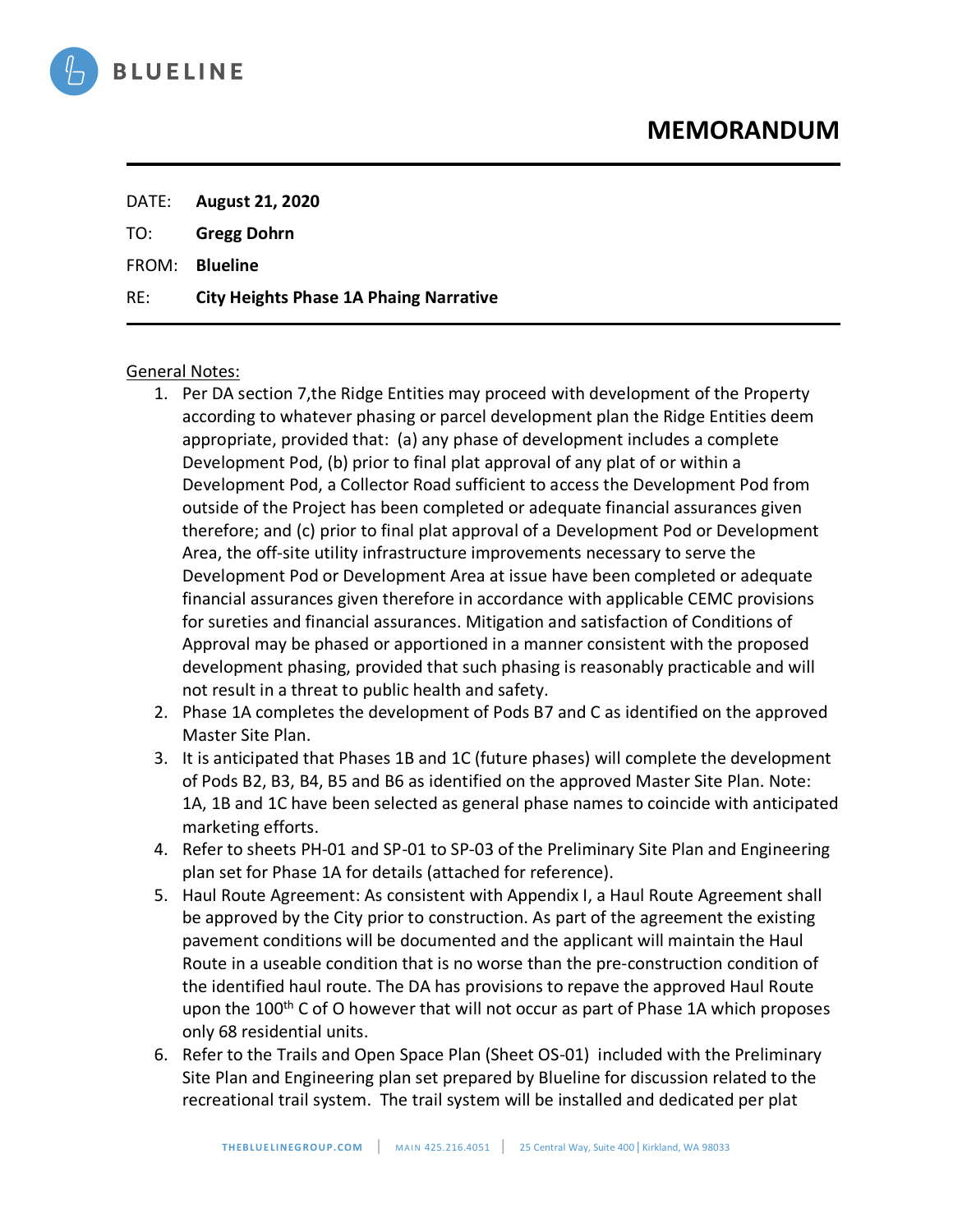

TO: **Gregg Dohrn**

FROM: **Blueline**

RE: **City Heights Phase 1A Phaing Narrative**

#### General Notes:

- 1. Per DA section 7,the Ridge Entities may proceed with development of the Property according to whatever phasing or parcel development plan the Ridge Entities deem appropriate, provided that: (a) any phase of development includes a complete Development Pod, (b) prior to final plat approval of any plat of or within a Development Pod, a Collector Road sufficient to access the Development Pod from outside of the Project has been completed or adequate financial assurances given therefore; and (c) prior to final plat approval of a Development Pod or Development Area, the off-site utility infrastructure improvements necessary to serve the Development Pod or Development Area at issue have been completed or adequate financial assurances given therefore in accordance with applicable CEMC provisions for sureties and financial assurances. Mitigation and satisfaction of Conditions of Approval may be phased or apportioned in a manner consistent with the proposed development phasing, provided that such phasing is reasonably practicable and will not result in a threat to public health and safety.
- 2. Phase 1A completes the development of Pods B7 and C as identified on the approved Master Site Plan.
- 3. It is anticipated that Phases 1B and 1C (future phases) will complete the development of Pods B2, B3, B4, B5 and B6 as identified on the approved Master Site Plan. Note: 1A, 1B and 1C have been selected as general phase names to coincide with anticipated marketing efforts.
- 4. Refer to sheets PH-01 and SP-01 to SP-03 of the Preliminary Site Plan and Engineering plan set for Phase 1A for details (attached for reference).
- 5. Haul Route Agreement: As consistent with Appendix I, a Haul Route Agreement shall be approved by the City prior to construction. As part of the agreement the existing pavement conditions will be documented and the applicant will maintain the Haul Route in a useable condition that is no worse than the pre-construction condition of the identified haul route. The DA has provisions to repave the approved Haul Route upon the 100<sup>th</sup> C of O however that will not occur as part of Phase 1A which proposes only 68 residential units.
- 6. Refer to the Trails and Open Space Plan (Sheet OS-01) included with the Preliminary Site Plan and Engineering plan set prepared by Blueline for discussion related to the recreational trail system. The trail system will be installed and dedicated per plat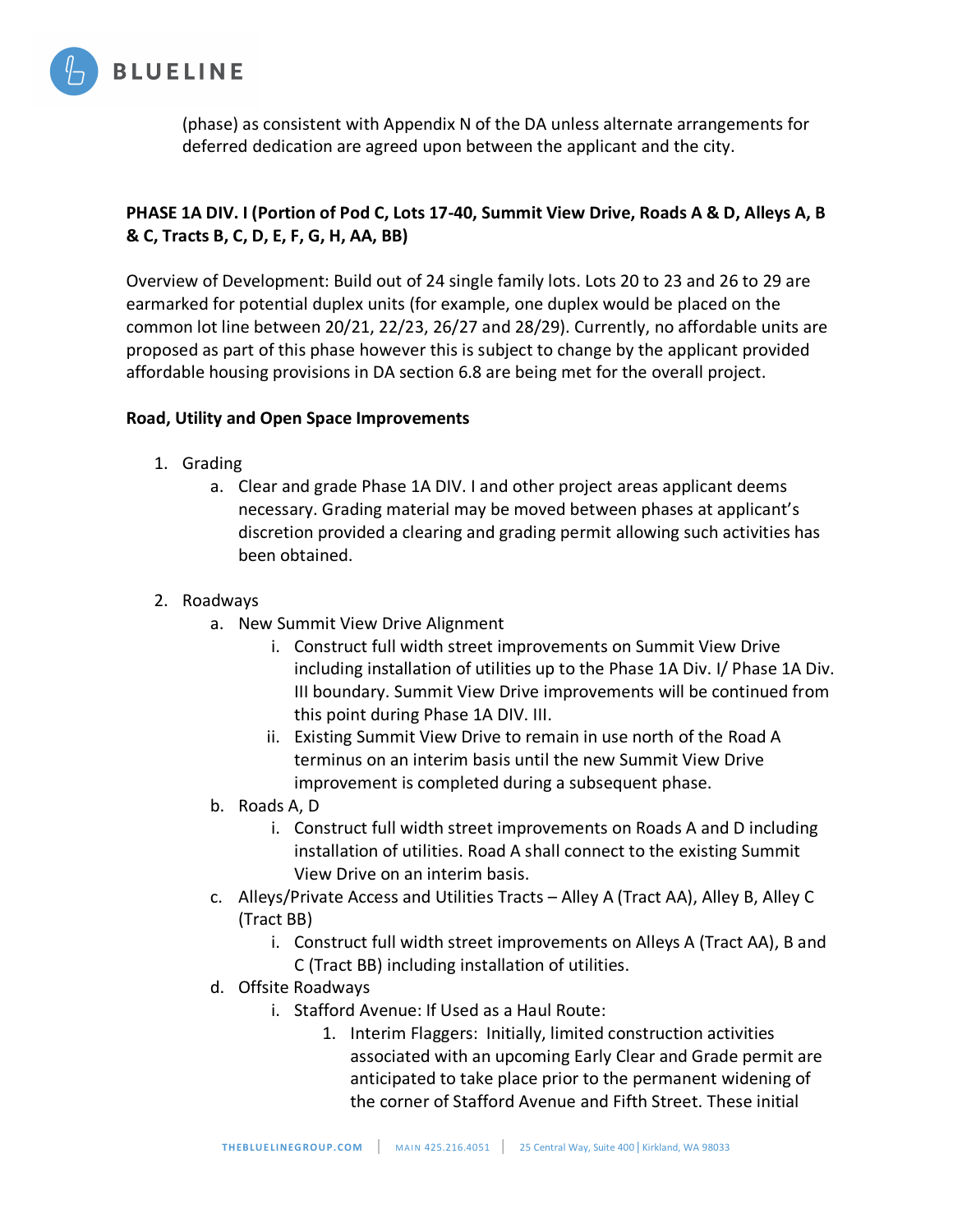

(phase) as consistent with Appendix N of the DA unless alternate arrangements for deferred dedication are agreed upon between the applicant and the city.

# **PHASE 1A DIV. I (Portion of Pod C, Lots 17-40, Summit View Drive, Roads A & D, Alleys A, B & C, Tracts B, C, D, E, F, G, H, AA, BB)**

Overview of Development: Build out of 24 single family lots. Lots 20 to 23 and 26 to 29 are earmarked for potential duplex units (for example, one duplex would be placed on the common lot line between 20/21, 22/23, 26/27 and 28/29). Currently, no affordable units are proposed as part of this phase however this is subject to change by the applicant provided affordable housing provisions in DA section 6.8 are being met for the overall project.

### **Road, Utility and Open Space Improvements**

- 1. Grading
	- a. Clear and grade Phase 1A DIV. I and other project areas applicant deems necessary. Grading material may be moved between phases at applicant's discretion provided a clearing and grading permit allowing such activities has been obtained.
- 2. Roadways
	- a. New Summit View Drive Alignment
		- i. Construct full width street improvements on Summit View Drive including installation of utilities up to the Phase 1A Div. I/ Phase 1A Div. III boundary. Summit View Drive improvements will be continued from this point during Phase 1A DIV. III.
		- ii. Existing Summit View Drive to remain in use north of the Road A terminus on an interim basis until the new Summit View Drive improvement is completed during a subsequent phase.
	- b. Roads A, D
		- i. Construct full width street improvements on Roads A and D including installation of utilities. Road A shall connect to the existing Summit View Drive on an interim basis.
	- c. Alleys/Private Access and Utilities Tracts Alley A (Tract AA), Alley B, Alley C (Tract BB)
		- i. Construct full width street improvements on Alleys A (Tract AA), B and C (Tract BB) including installation of utilities.
	- d. Offsite Roadways
		- i. Stafford Avenue: If Used as a Haul Route:
			- 1. Interim Flaggers: Initially, limited construction activities associated with an upcoming Early Clear and Grade permit are anticipated to take place prior to the permanent widening of the corner of Stafford Avenue and Fifth Street. These initial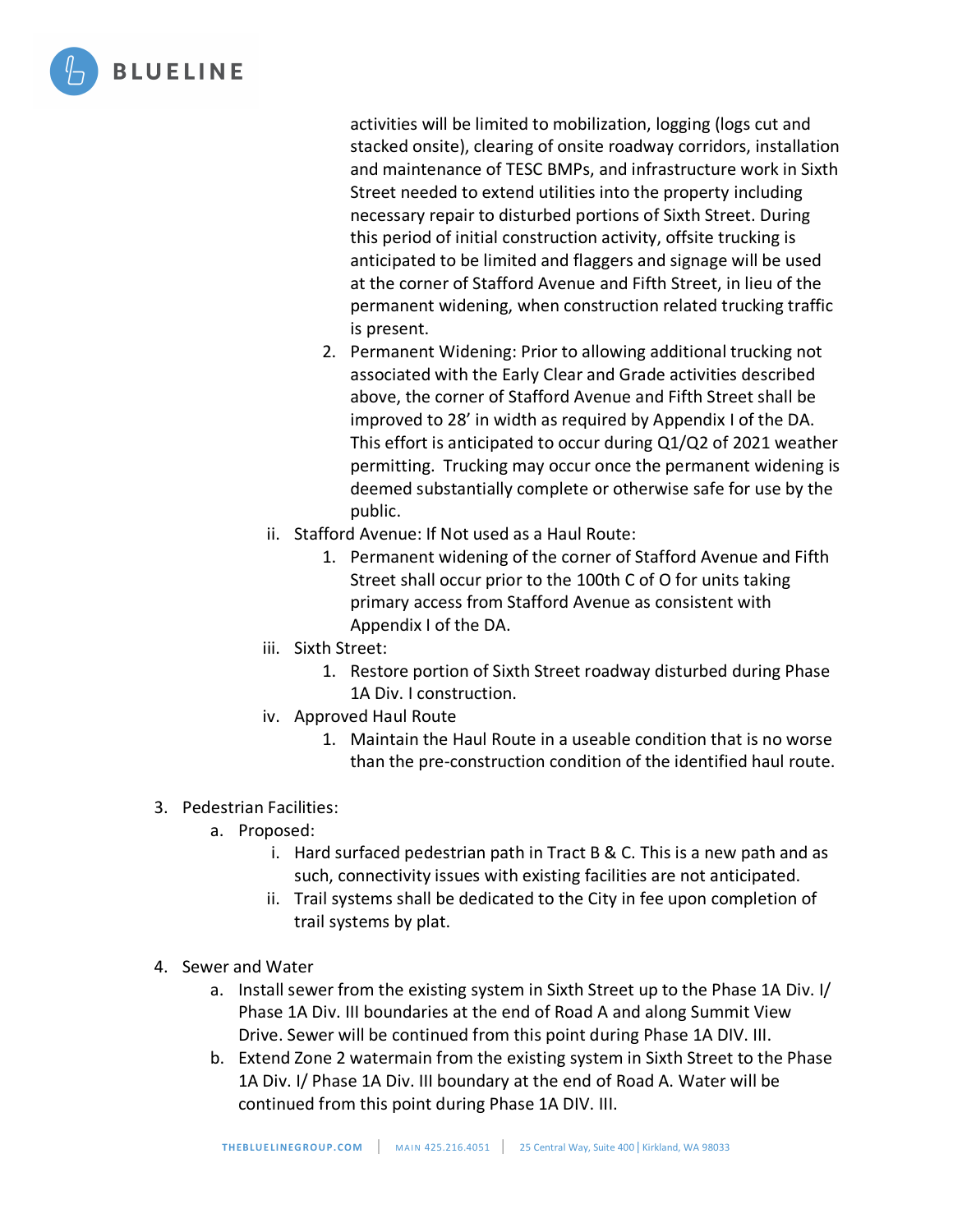

activities will be limited to mobilization, logging (logs cut and stacked onsite), clearing of onsite roadway corridors, installation and maintenance of TESC BMPs, and infrastructure work in Sixth Street needed to extend utilities into the property including necessary repair to disturbed portions of Sixth Street. During this period of initial construction activity, offsite trucking is anticipated to be limited and flaggers and signage will be used at the corner of Stafford Avenue and Fifth Street, in lieu of the permanent widening, when construction related trucking traffic is present.

- 2. Permanent Widening: Prior to allowing additional trucking not associated with the Early Clear and Grade activities described above, the corner of Stafford Avenue and Fifth Street shall be improved to 28' in width as required by Appendix I of the DA. This effort is anticipated to occur during Q1/Q2 of 2021 weather permitting. Trucking may occur once the permanent widening is deemed substantially complete or otherwise safe for use by the public.
- ii. Stafford Avenue: If Not used as a Haul Route:
	- 1. Permanent widening of the corner of Stafford Avenue and Fifth Street shall occur prior to the 100th C of O for units taking primary access from Stafford Avenue as consistent with Appendix I of the DA.
- iii. Sixth Street:
	- 1. Restore portion of Sixth Street roadway disturbed during Phase 1A Div. I construction.
- iv. Approved Haul Route
	- 1. Maintain the Haul Route in a useable condition that is no worse than the pre-construction condition of the identified haul route.
- 3. Pedestrian Facilities:
	- a. Proposed:
		- i. Hard surfaced pedestrian path in Tract B & C. This is a new path and as such, connectivity issues with existing facilities are not anticipated.
		- ii. Trail systems shall be dedicated to the City in fee upon completion of trail systems by plat.
- 4. Sewer and Water
	- a. Install sewer from the existing system in Sixth Street up to the Phase 1A Div. I/ Phase 1A Div. III boundaries at the end of Road A and along Summit View Drive. Sewer will be continued from this point during Phase 1A DIV. III.
	- b. Extend Zone 2 watermain from the existing system in Sixth Street to the Phase 1A Div. I/ Phase 1A Div. III boundary at the end of Road A. Water will be continued from this point during Phase 1A DIV. III.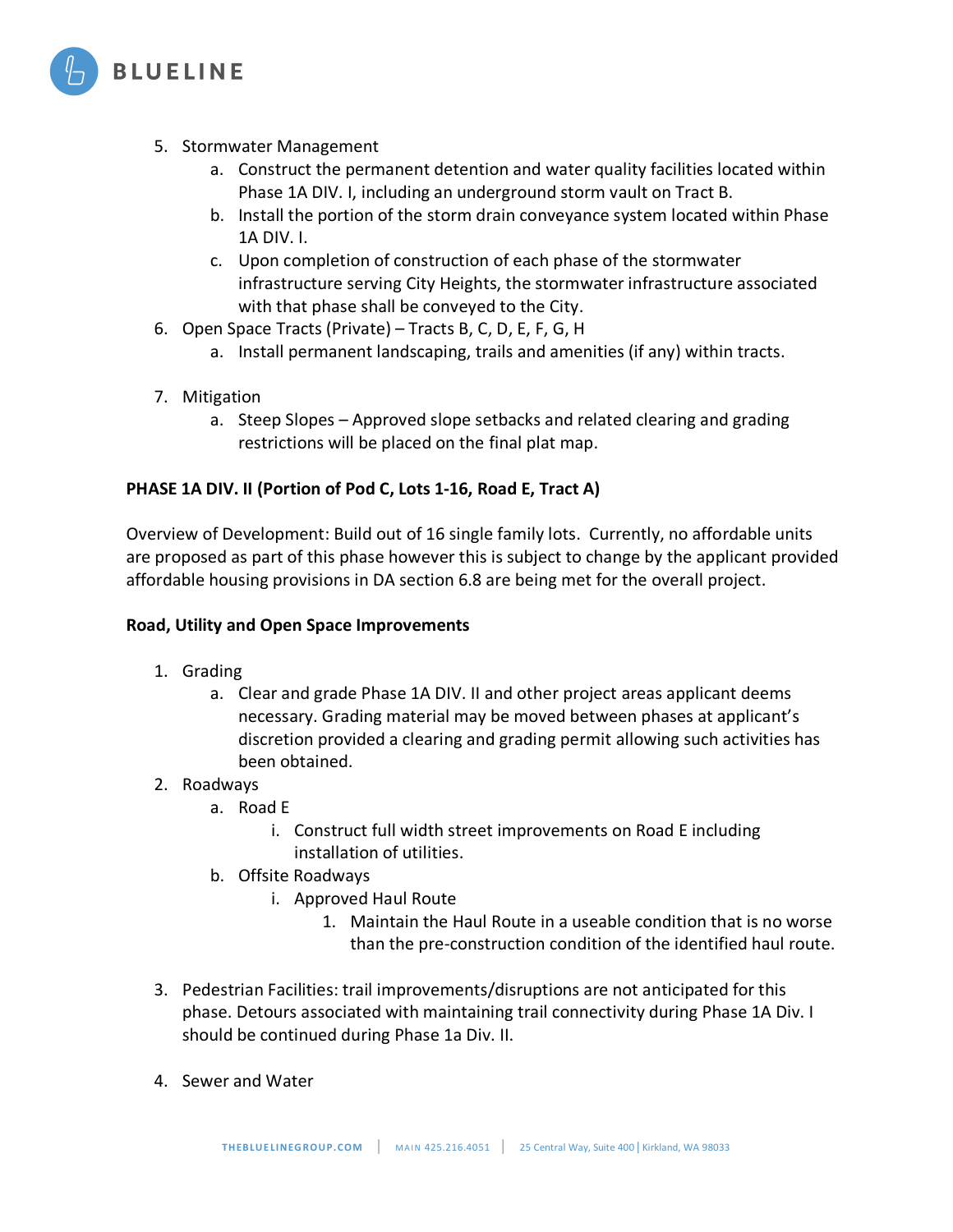

- 5. Stormwater Management
	- a. Construct the permanent detention and water quality facilities located within Phase 1A DIV. I, including an underground storm vault on Tract B.
	- b. Install the portion of the storm drain conveyance system located within Phase 1A DIV. I.
	- c. Upon completion of construction of each phase of the stormwater infrastructure serving City Heights, the stormwater infrastructure associated with that phase shall be conveyed to the City.
- 6. Open Space Tracts (Private) Tracts B, C, D, E, F, G, H
	- a. Install permanent landscaping, trails and amenities (if any) within tracts.
- 7. Mitigation
	- a. Steep Slopes Approved slope setbacks and related clearing and grading restrictions will be placed on the final plat map.

### **PHASE 1A DIV. II (Portion of Pod C, Lots 1-16, Road E, Tract A)**

Overview of Development: Build out of 16 single family lots. Currently, no affordable units are proposed as part of this phase however this is subject to change by the applicant provided affordable housing provisions in DA section 6.8 are being met for the overall project.

#### **Road, Utility and Open Space Improvements**

- 1. Grading
	- a. Clear and grade Phase 1A DIV. II and other project areas applicant deems necessary. Grading material may be moved between phases at applicant's discretion provided a clearing and grading permit allowing such activities has been obtained.
- 2. Roadways
	- a. Road E
		- i. Construct full width street improvements on Road E including installation of utilities.
	- b. Offsite Roadways
		- i. Approved Haul Route
			- 1. Maintain the Haul Route in a useable condition that is no worse than the pre-construction condition of the identified haul route.
- 3. Pedestrian Facilities: trail improvements/disruptions are not anticipated for this phase. Detours associated with maintaining trail connectivity during Phase 1A Div. I should be continued during Phase 1a Div. II.
- 4. Sewer and Water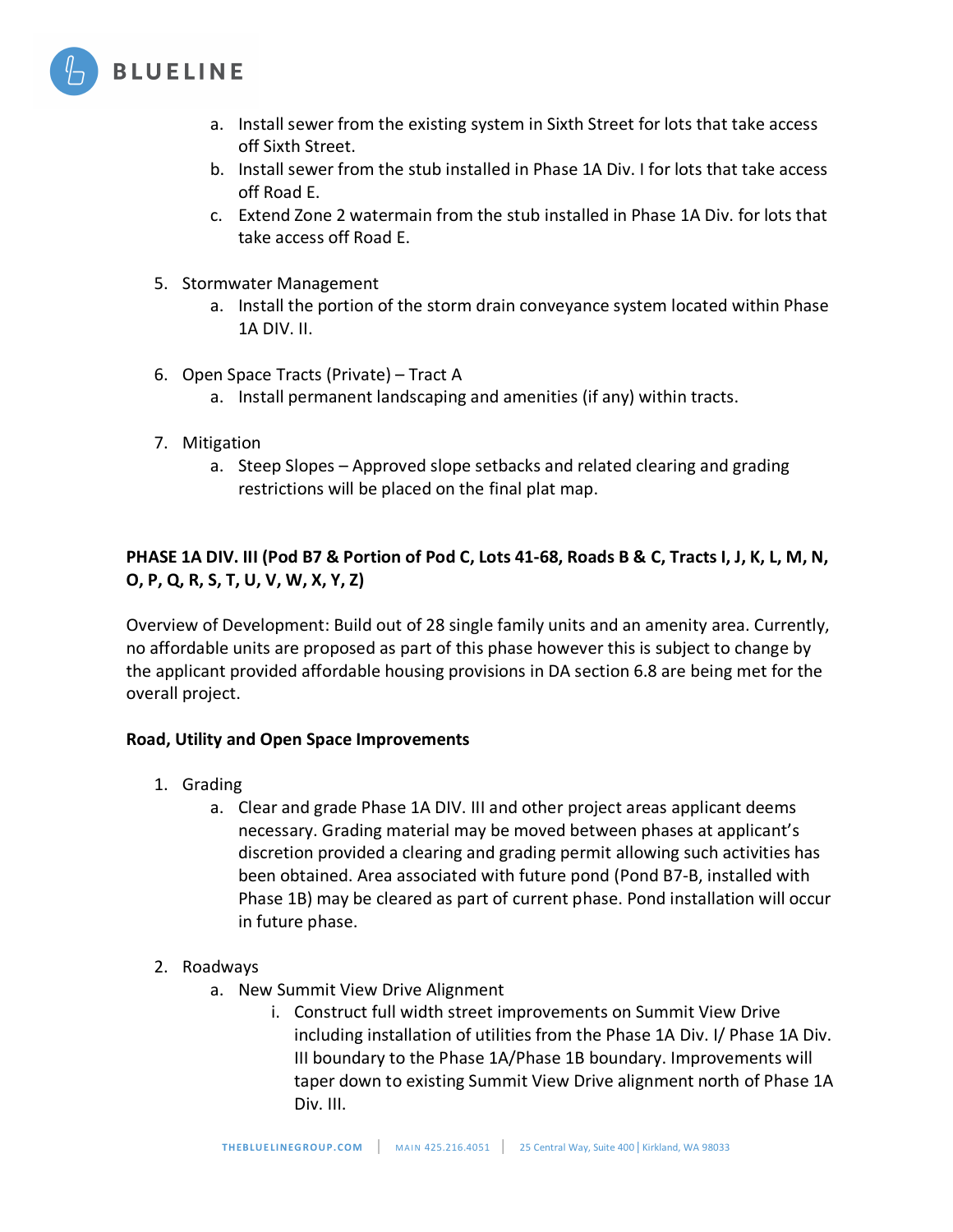

- a. Install sewer from the existing system in Sixth Street for lots that take access off Sixth Street.
- b. Install sewer from the stub installed in Phase 1A Div. I for lots that take access off Road E.
- c. Extend Zone 2 watermain from the stub installed in Phase 1A Div. for lots that take access off Road E.
- 5. Stormwater Management
	- a. Install the portion of the storm drain conveyance system located within Phase 1A DIV. II.
- 6. Open Space Tracts (Private) Tract A
	- a. Install permanent landscaping and amenities (if any) within tracts.
- 7. Mitigation
	- a. Steep Slopes Approved slope setbacks and related clearing and grading restrictions will be placed on the final plat map.

# **PHASE 1A DIV. III (Pod B7 & Portion of Pod C, Lots 41-68, Roads B & C, Tracts I, J, K, L, M, N, O, P, Q, R, S, T, U, V, W, X, Y, Z)**

Overview of Development: Build out of 28 single family units and an amenity area. Currently, no affordable units are proposed as part of this phase however this is subject to change by the applicant provided affordable housing provisions in DA section 6.8 are being met for the overall project.

## **Road, Utility and Open Space Improvements**

- 1. Grading
	- a. Clear and grade Phase 1A DIV. III and other project areas applicant deems necessary. Grading material may be moved between phases at applicant's discretion provided a clearing and grading permit allowing such activities has been obtained. Area associated with future pond (Pond B7-B, installed with Phase 1B) may be cleared as part of current phase. Pond installation will occur in future phase.

## 2. Roadways

- a. New Summit View Drive Alignment
	- i. Construct full width street improvements on Summit View Drive including installation of utilities from the Phase 1A Div. I/ Phase 1A Div. III boundary to the Phase 1A/Phase 1B boundary. Improvements will taper down to existing Summit View Drive alignment north of Phase 1A Div. III.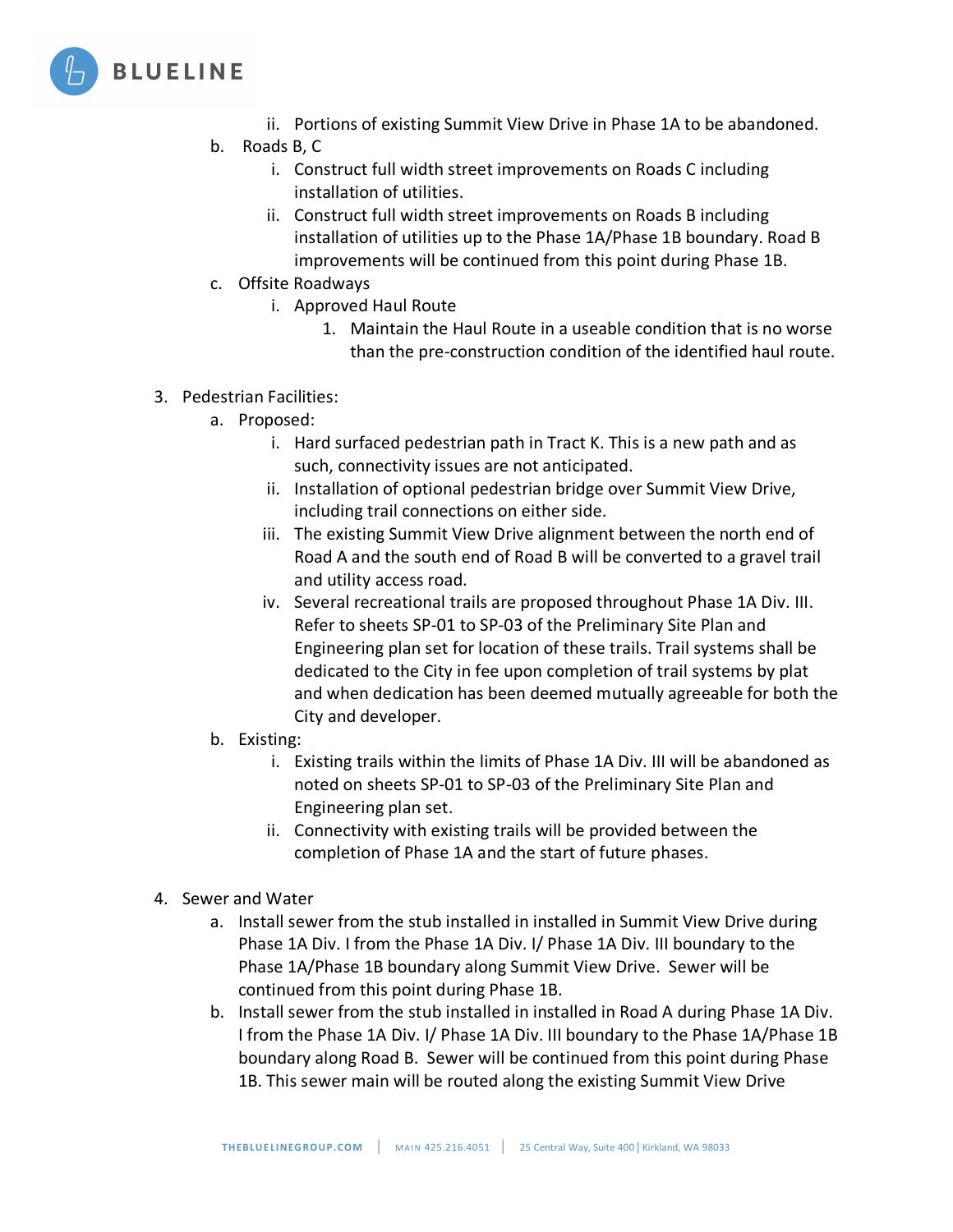

- ii. Portions of existing Summit View Drive in Phase 1A to be abandoned.
- b. Roads B, C
	- i. Construct full width street improvements on Roads C including installation of utilities.
	- ii. Construct full width street improvements on Roads B including installation of utilities up to the Phase 1A/Phase 1B boundary. Road B improvements will be continued from this point during Phase 1B.
- c. Offsite Roadways
	- i. Approved Haul Route
		- 1. Maintain the Haul Route in a useable condition that is no worse than the pre-construction condition of the identified haul route.
- 3. Pedestrian Facilities:
	- a. Proposed:
		- i. Hard surfaced pedestrian path in Tract K. This is a new path and as such, connectivity issues are not anticipated.
		- ii. Installation of optional pedestrian bridge over Summit View Drive, including trail connections on either side.
		- iii. The existing Summit View Drive alignment between the north end of Road A and the south end of Road B will be converted to a gravel trail and utility access road.
		- iv. Several recreational trails are proposed throughout Phase 1A Div. III. Refer to sheets SP-01 to SP-03 of the Preliminary Site Plan and Engineering plan set for location of these trails. Trail systems shall be dedicated to the City in fee upon completion of trail systems by plat and when dedication has been deemed mutually agreeable for both the City and developer.
	- b. Existing:
		- i. Existing trails within the limits of Phase 1A Div. III will be abandoned as noted on sheets SP-01 to SP-03 of the Preliminary Site Plan and Engineering plan set.
		- ii. Connectivity with existing trails will be provided between the completion of Phase 1A and the start of future phases.
- 4. Sewer and Water
	- a. Install sewer from the stub installed in installed in Summit View Drive during Phase 1A Div. I from the Phase 1A Div. I/ Phase 1A Div. III boundary to the Phase 1A/Phase 1B boundary along Summit View Drive. Sewer will be continued from this point during Phase 1B.
	- b. Install sewer from the stub installed in installed in Road A during Phase 1A Div. I from the Phase 1A Div. I/ Phase 1A Div. III boundary to the Phase 1A/Phase 1B boundary along Road B. Sewer will be continued from this point during Phase 1B. This sewer main will be routed along the existing Summit View Drive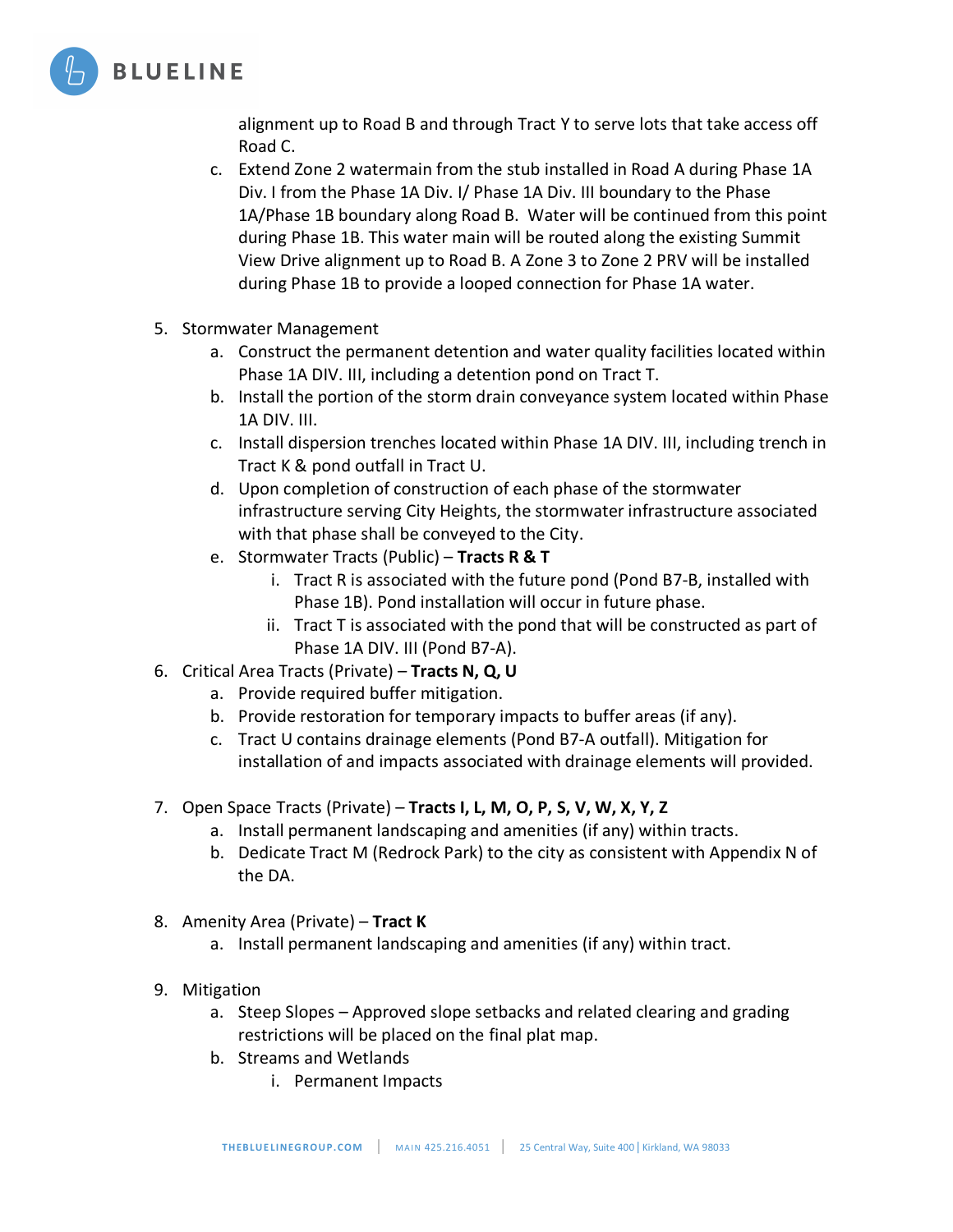

alignment up to Road B and through Tract Y to serve lots that take access off Road C.

- c. Extend Zone 2 watermain from the stub installed in Road A during Phase 1A Div. I from the Phase 1A Div. I/ Phase 1A Div. III boundary to the Phase 1A/Phase 1B boundary along Road B. Water will be continued from this point during Phase 1B. This water main will be routed along the existing Summit View Drive alignment up to Road B. A Zone 3 to Zone 2 PRV will be installed during Phase 1B to provide a looped connection for Phase 1A water.
- 5. Stormwater Management
	- a. Construct the permanent detention and water quality facilities located within Phase 1A DIV. III, including a detention pond on Tract T.
	- b. Install the portion of the storm drain conveyance system located within Phase 1A DIV. III.
	- c. Install dispersion trenches located within Phase 1A DIV. III, including trench in Tract K & pond outfall in Tract U.
	- d. Upon completion of construction of each phase of the stormwater infrastructure serving City Heights, the stormwater infrastructure associated with that phase shall be conveyed to the City.
	- e. Stormwater Tracts (Public) **Tracts R & T**
		- i. Tract R is associated with the future pond (Pond B7-B, installed with Phase 1B). Pond installation will occur in future phase.
		- ii. Tract T is associated with the pond that will be constructed as part of Phase 1A DIV. III (Pond B7-A).
- 6. Critical Area Tracts (Private) **Tracts N, Q, U**
	- a. Provide required buffer mitigation.
	- b. Provide restoration for temporary impacts to buffer areas (if any).
	- c. Tract U contains drainage elements (Pond B7-A outfall). Mitigation for installation of and impacts associated with drainage elements will provided.
- 7. Open Space Tracts (Private) **Tracts I, L, M, O, P, S, V, W, X, Y, Z**
	- a. Install permanent landscaping and amenities (if any) within tracts.
	- b. Dedicate Tract M (Redrock Park) to the city as consistent with Appendix N of the DA.
- 8. Amenity Area (Private) **Tract K**
	- a. Install permanent landscaping and amenities (if any) within tract.
- 9. Mitigation
	- a. Steep Slopes Approved slope setbacks and related clearing and grading restrictions will be placed on the final plat map.
	- b. Streams and Wetlands
		- i. Permanent Impacts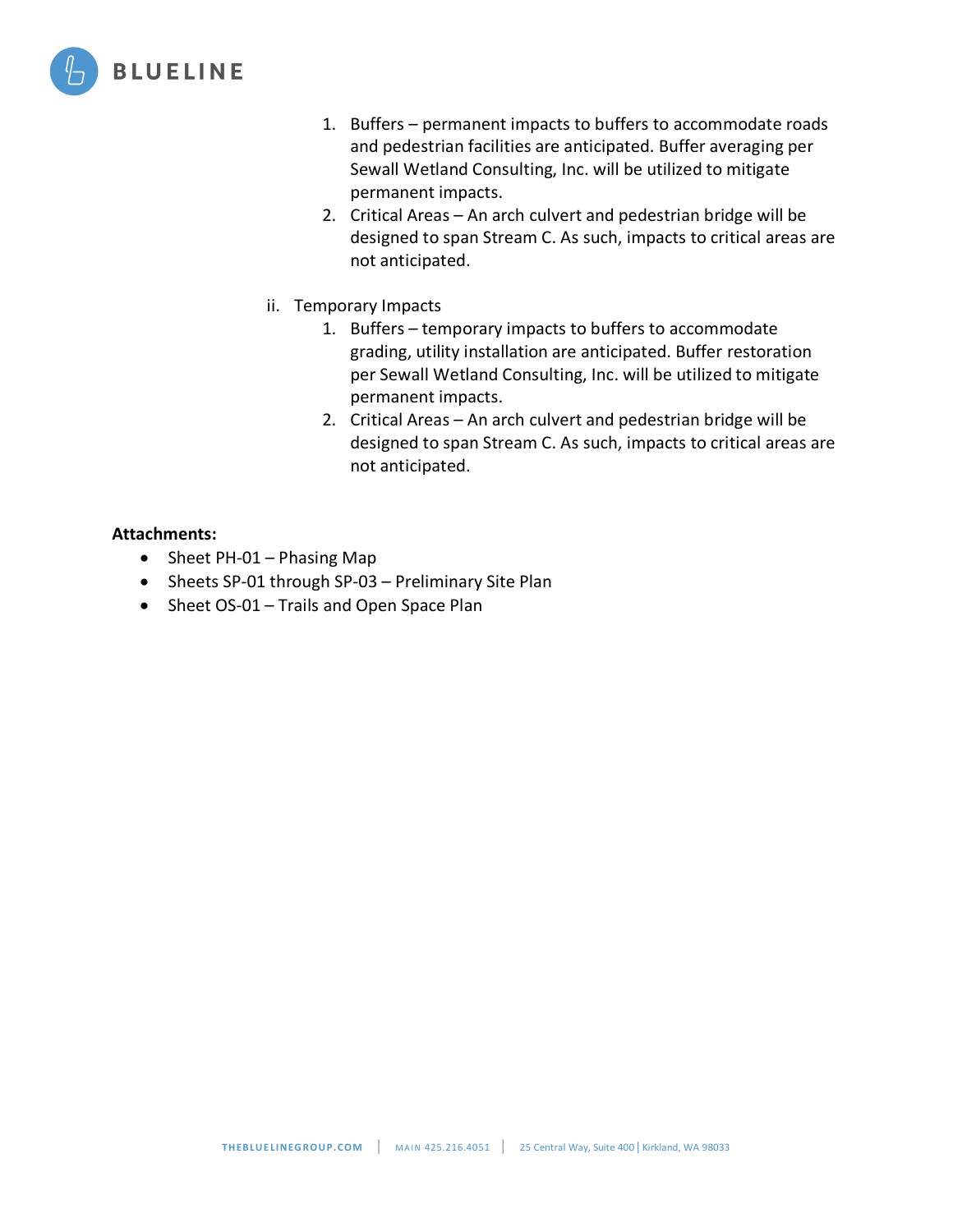

- 1. Buffers permanent impacts to buffers to accommodate roads and pedestrian facilities are anticipated. Buffer averaging per Sewall Wetland Consulting, Inc. will be utilized to mitigate permanent impacts.
- 2. Critical Areas An arch culvert and pedestrian bridge will be designed to span Stream C. As such, impacts to critical areas are not anticipated.
- ii. Temporary Impacts
	- 1. Buffers temporary impacts to buffers to accommodate grading, utility installation are anticipated. Buffer restoration per Sewall Wetland Consulting, Inc. will be utilized to mitigate permanent impacts.
	- 2. Critical Areas An arch culvert and pedestrian bridge will be designed to span Stream C. As such, impacts to critical areas are not anticipated.

#### **Attachments:**

- Sheet PH-01 Phasing Map
- Sheets SP-01 through SP-03 Preliminary Site Plan
- Sheet OS-01 Trails and Open Space Plan